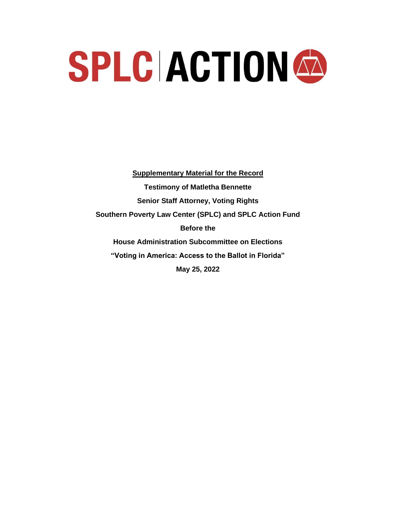# SPLC ACTION A

**Supplementary Material for the Record Testimony of Matletha Bennette Senior Staff Attorney, Voting Rights Southern Poverty Law Center (SPLC) and SPLC Action Fund Before the House Administration Subcommittee on Elections "Voting in America: Access to the Ballot in Florida" May 25, 2022**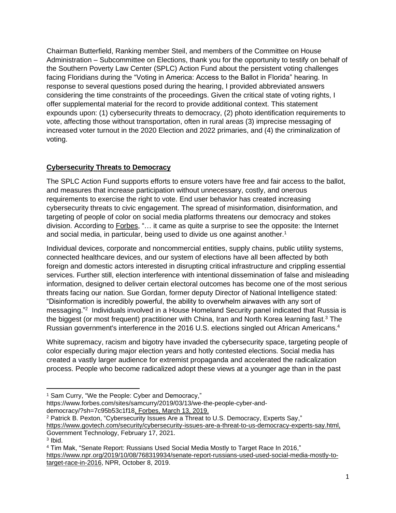Chairman Butterfield, Ranking member Steil, and members of the Committee on House Administration – Subcommittee on Elections, thank you for the opportunity to testify on behalf of the Southern Poverty Law Center (SPLC) Action Fund about the persistent voting challenges facing Floridians during the "Voting in America: Access to the Ballot in Florida" hearing. In response to several questions posed during the hearing, I provided abbreviated answers considering the time constraints of the proceedings. Given the critical state of voting rights, I offer supplemental material for the record to provide additional context. This statement expounds upon: (1) cybersecurity threats to democracy, (2) photo identification requirements to vote, affecting those without transportation, often in rural areas (3) imprecise messaging of increased voter turnout in the 2020 Election and 2022 primaries, and (4) the criminalization of voting.

# **Cybersecurity Threats to Democracy**

The SPLC Action Fund supports efforts to ensure voters have free and fair access to the ballot, and measures that increase participation without unnecessary, costly, and onerous requirements to exercise the right to vote. End user behavior has created increasing cybersecurity threats to civic engagement. The spread of misinformation, disinformation, and targeting of people of color on social media platforms threatens our democracy and stokes division. According to Forbes, "… it came as quite a surprise to see the opposite: the Internet and social media, in particular, being used to divide us one against another.<sup>1</sup>

Individual devices, corporate and noncommercial entities, supply chains, public utility systems, connected healthcare devices, and our system of elections have all been affected by both foreign and domestic actors interested in disrupting critical infrastructure and crippling essential services. Further still, election interference with intentional dissemination of false and misleading information, designed to deliver certain electoral outcomes has become one of the most serious threats facing our nation. Sue Gordan, former deputy Director of National Intelligence stated: "Disinformation is incredibly powerful, the ability to overwhelm airwaves with any sort of messaging." 2 Individuals involved in a House Homeland Security panel indicated that Russia is the biggest (or most frequent) practitioner with China, Iran and North Korea learning fast.<sup>3</sup> The Russian government's interference in the 2016 U.S. elections singled out African Americans.<sup>4</sup>

White supremacy, racism and bigotry have invaded the cybersecurity space, targeting people of color especially during major election years and hotly contested elections. Social media has created a vastly larger audience for extremist propaganda and accelerated the radicalization process. People who become radicalized adopt these views at a younger age than in the past

democracy/?sh=7c95b53c1f18, Forbes, March 13, 2019.

<sup>&</sup>lt;sup>1</sup> Sam Curry, "We the People: Cyber and Democracy,"

https://www.forbes.com/sites/samcurry/2019/03/13/we-the-people-cyber-and-

<sup>2</sup> Patrick B. Pexton, "Cybersecurity Issues Are a Threat to U.S. Democracy, Experts Say," https://www.govtech.com/security/cybersecurity-issues-are-a-threat-to-us-democracy-experts-say.html, Government Technology, February 17, 2021. 3 Ibid.

<sup>4</sup> Tim Mak, "Senate Report: Russians Used Social Media Mostly to Target Race In 2016," https://www.npr.org/2019/10/08/768319934/senate-report-russians-used-used-social-media-mostly-totarget-race-in-2016, NPR, October 8, 2019.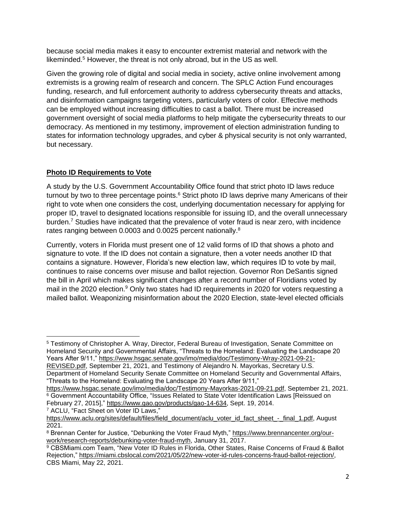because social media makes it easy to encounter extremist material and network with the likeminded.<sup>5</sup> However, the threat is not only abroad, but in the US as well.

Given the growing role of digital and social media in society, active online involvement among extremists is a growing realm of research and concern. The SPLC Action Fund encourages funding, research, and full enforcement authority to address cybersecurity threats and attacks, and disinformation campaigns targeting voters, particularly voters of color. Effective methods can be employed without increasing difficulties to cast a ballot. There must be increased government oversight of social media platforms to help mitigate the cybersecurity threats to our democracy. As mentioned in my testimony, improvement of election administration funding to states for information technology upgrades, and cyber & physical security is not only warranted, but necessary.

# **Photo ID Requirements to Vote**

A study by the U.S. Government Accountability Office found that strict photo ID laws reduce turnout by two to three percentage points.<sup>6</sup> Strict photo ID laws deprive many Americans of their right to vote when one considers the cost, underlying documentation necessary for applying for proper ID, travel to designated locations responsible for issuing ID, and the overall unnecessary burden.<sup>7</sup> Studies have indicated that the prevalence of voter fraud is near zero, with incidence rates ranging between 0.0003 and 0.0025 percent nationally.<sup>8</sup>

Currently, voters in Florida must present one of 12 valid forms of ID that shows a photo and signature to vote. If the ID does not contain a signature, then a voter needs another ID that contains a signature. However, Florida's new election law, which requires ID to vote by mail, continues to raise concerns over misuse and ballot rejection. Governor Ron DeSantis signed the bill in April which makes significant changes after a record number of Floridians voted by mail in the 2020 election.<sup>9</sup> Only two states had ID requirements in 2020 for voters requesting a mailed ballot. Weaponizing misinformation about the 2020 Election, state-level elected officials

<sup>7</sup> ACLU, "Fact Sheet on Voter ID Laws,"

<sup>5</sup> Testimony of Christopher A. Wray, Director, Federal Bureau of Investigation, Senate Committee on Homeland Security and Governmental Affairs, "Threats to the Homeland: Evaluating the Landscape 20 Years After 9/11," https://www.hsgac.senate.gov/imo/media/doc/Testimony-Wray-2021-09-21-

REVISED.pdf, September 21, 2021, and Testimony of Alejandro N. Mayorkas, Secretary U.S. Department of Homeland Security Senate Committee on Homeland Security and Governmental Affairs, "Threats to the Homeland: Evaluating the Landscape 20 Years After 9/11,"

https://www.hsgac.senate.gov/imo/media/doc/Testimony-Mayorkas-2021-09-21.pdf, September 21, 2021. <sup>6</sup> Government Accountability Office, "Issues Related to State Voter Identification Laws [Reissued on February 27, 2015]," https://www.gao.gov/products/gao-14-634, Sept. 19, 2014.

https://www.aclu.org/sites/default/files/field\_document/aclu\_voter\_id\_fact\_sheet\_-\_final\_1.pdf, August 2021.

<sup>8</sup> Brennan Center for Justice, "Debunking the Voter Fraud Myth," https://www.brennancenter.org/ourwork/research-reports/debunking-voter-fraud-myth, January 31, 2017.

<sup>9</sup> CBSMiami.com Team, "New Voter ID Rules in Florida, Other States, Raise Concerns of Fraud & Ballot Rejection," https://miami.cbslocal.com/2021/05/22/new-voter-id-rules-concerns-fraud-ballot-rejection/, CBS Miami, May 22, 2021.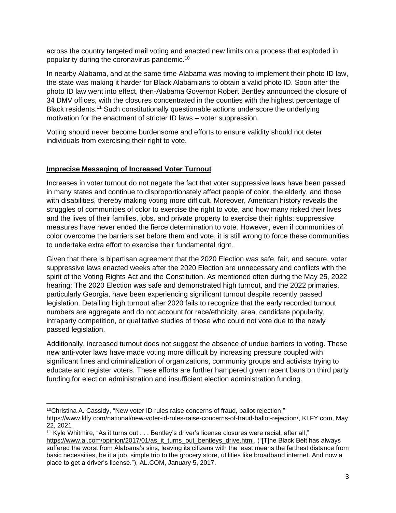across the country targeted mail voting and enacted new limits on a process that exploded in popularity during the coronavirus pandemic.<sup>10</sup>

In nearby Alabama, and at the same time Alabama was moving to implement their photo ID law, the state was making it harder for Black Alabamians to obtain a valid photo ID. Soon after the photo ID law went into effect, then-Alabama Governor Robert Bentley announced the closure of 34 DMV offices, with the closures concentrated in the counties with the highest percentage of Black residents.<sup>11</sup> Such constitutionally questionable actions underscore the underlying motivation for the enactment of stricter ID laws – voter suppression.

Voting should never become burdensome and efforts to ensure validity should not deter individuals from exercising their right to vote.

### **Imprecise Messaging of Increased Voter Turnout**

Increases in voter turnout do not negate the fact that voter suppressive laws have been passed in many states and continue to disproportionately affect people of color, the elderly, and those with disabilities, thereby making voting more difficult. Moreover, American history reveals the struggles of communities of color to exercise the right to vote, and how many risked their lives and the lives of their families, jobs, and private property to exercise their rights; suppressive measures have never ended the fierce determination to vote. However, even if communities of color overcome the barriers set before them and vote, it is still wrong to force these communities to undertake extra effort to exercise their fundamental right.

Given that there is bipartisan agreement that the 2020 Election was safe, fair, and secure, voter suppressive laws enacted weeks after the 2020 Election are unnecessary and conflicts with the spirit of the Voting Rights Act and the Constitution. As mentioned often during the May 25, 2022 hearing: The 2020 Election was safe and demonstrated high turnout, and the 2022 primaries, particularly Georgia, have been experiencing significant turnout despite recently passed legislation. Detailing high turnout after 2020 fails to recognize that the early recorded turnout numbers are aggregate and do not account for race/ethnicity, area, candidate popularity, intraparty competition, or qualitative studies of those who could not vote due to the newly passed legislation.

Additionally, increased turnout does not suggest the absence of undue barriers to voting. These new anti-voter laws have made voting more difficult by increasing pressure coupled with significant fines and criminalization of organizations, community groups and activists trying to educate and register voters. These efforts are further hampered given recent bans on third party funding for election administration and insufficient election administration funding.

<sup>10</sup>Christina A. Cassidy, "New voter ID rules raise concerns of fraud, ballot rejection,"

https://www.klfy.com/national/new-voter-id-rules-raise-concerns-of-fraud-ballot-rejection/, KLFY.com, May 22, 2021

<sup>11</sup> Kyle Whitmire, "As it turns out . . . Bentley's driver's license closures were racial, after all," https://www.al.com/opinion/2017/01/as\_it\_turns\_out\_bentleys\_drive.html, ("[T]he Black Belt has always suffered the worst from Alabama's sins, leaving its citizens with the least means the farthest distance from basic necessities, be it a job, simple trip to the grocery store, utilities like broadband internet. And now a place to get a driver's license."), AL.COM, January 5, 2017.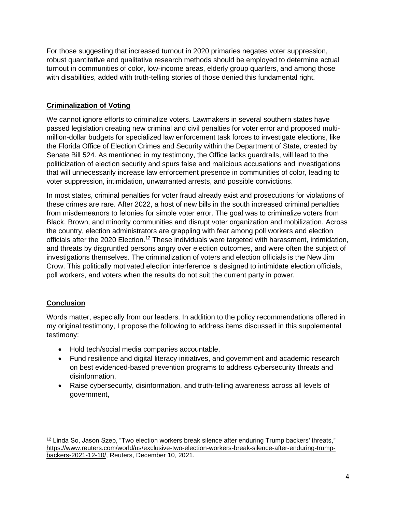For those suggesting that increased turnout in 2020 primaries negates voter suppression, robust quantitative and qualitative research methods should be employed to determine actual turnout in communities of color, low-income areas, elderly group quarters, and among those with disabilities, added with truth-telling stories of those denied this fundamental right.

## **Criminalization of Voting**

We cannot ignore efforts to criminalize voters. Lawmakers in several southern states have passed legislation creating new criminal and civil penalties for voter error and proposed multimillion-dollar budgets for specialized law enforcement task forces to investigate elections, like the Florida Office of Election Crimes and Security within the Department of State, created by Senate Bill 524. As mentioned in my testimony, the Office lacks guardrails, will lead to the politicization of election security and spurs false and malicious accusations and investigations that will unnecessarily increase law enforcement presence in communities of color, leading to voter suppression, intimidation, unwarranted arrests, and possible convictions.

In most states, criminal penalties for voter fraud already exist and prosecutions for violations of these crimes are rare. After 2022, a host of new bills in the south increased criminal penalties from misdemeanors to felonies for simple voter error. The goal was to criminalize voters from Black, Brown, and minority communities and disrupt voter organization and mobilization. Across the country, election administrators are grappling with fear among poll workers and election officials after the 2020 Election.<sup>12</sup> These individuals were targeted with harassment, intimidation, and threats by disgruntled persons angry over election outcomes, and were often the subject of investigations themselves. The criminalization of voters and election officials is the New Jim Crow. This politically motivated election interference is designed to intimidate election officials, poll workers, and voters when the results do not suit the current party in power.

# **Conclusion**

Words matter, especially from our leaders. In addition to the policy recommendations offered in my original testimony, I propose the following to address items discussed in this supplemental testimony:

- Hold tech/social media companies accountable,
- Fund resilience and digital literacy initiatives, and government and academic research on best evidenced-based prevention programs to address cybersecurity threats and disinformation,
- Raise cybersecurity, disinformation, and truth-telling awareness across all levels of government,

<sup>12</sup> Linda So, Jason Szep, "Two election workers break silence after enduring Trump backers' threats," https://www.reuters.com/world/us/exclusive-two-election-workers-break-silence-after-enduring-trumpbackers-2021-12-10/, Reuters, December 10, 2021.